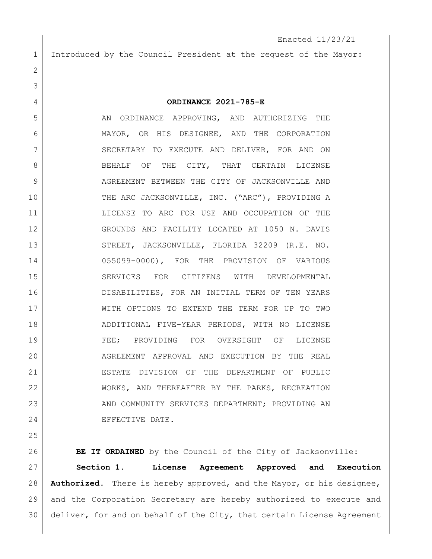Introduced by the Council President at the request of the Mayor:

**ORDINANCE 2021-785-E**

5 AN ORDINANCE APPROVING, AND AUTHORIZING THE MAYOR, OR HIS DESIGNEE, AND THE CORPORATION 7 SECRETARY TO EXECUTE AND DELIVER, FOR AND ON 8 BEHALF OF THE CITY, THAT CERTAIN LICENSE AGREEMENT BETWEEN THE CITY OF JACKSONVILLE AND 10 THE ARC JACKSONVILLE, INC. ("ARC"), PROVIDING A LICENSE TO ARC FOR USE AND OCCUPATION OF THE GROUNDS AND FACILITY LOCATED AT 1050 N. DAVIS 13 STREET, JACKSONVILLE, FLORIDA 32209 (R.E. NO. 055099-0000), FOR THE PROVISION OF VARIOUS SERVICES FOR CITIZENS WITH DEVELOPMENTAL DISABILITIES, FOR AN INITIAL TERM OF TEN YEARS WITH OPTIONS TO EXTEND THE TERM FOR UP TO TWO ADDITIONAL FIVE-YEAR PERIODS, WITH NO LICENSE FEE; PROVIDING FOR OVERSIGHT OF LICENSE 20 AGREEMENT APPROVAL AND EXECUTION BY THE REAL ESTATE DIVISION OF THE DEPARTMENT OF PUBLIC WORKS, AND THEREAFTER BY THE PARKS, RECREATION 23 AND COMMUNITY SERVICES DEPARTMENT; PROVIDING AN 24 EFFECTIVE DATE.

**BE IT ORDAINED** by the Council of the City of Jacksonville: **Section 1. License Agreement Approved and Execution Authorized.** There is hereby approved, and the Mayor, or his designee, and the Corporation Secretary are hereby authorized to execute and deliver, for and on behalf of the City, that certain License Agreement